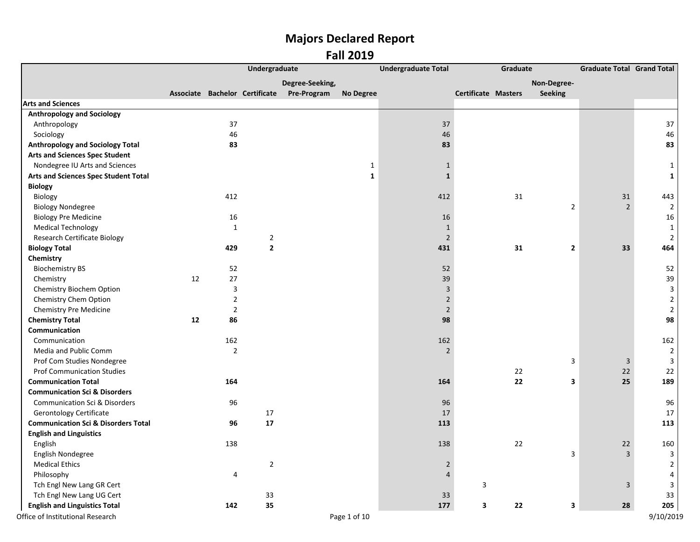|                                                |    |                | Undergraduate  |                                            |                  | <b>Undergraduate Total</b> | Graduate            |                         | <b>Graduate Total Grand Total</b> |                |
|------------------------------------------------|----|----------------|----------------|--------------------------------------------|------------------|----------------------------|---------------------|-------------------------|-----------------------------------|----------------|
|                                                |    |                |                | Degree-Seeking,                            |                  |                            |                     | Non-Degree-             |                                   |                |
|                                                |    |                |                | Associate Bachelor Certificate Pre-Program | <b>No Degree</b> |                            | Certificate Masters | <b>Seeking</b>          |                                   |                |
| <b>Arts and Sciences</b>                       |    |                |                |                                            |                  |                            |                     |                         |                                   |                |
| <b>Anthropology and Sociology</b>              |    |                |                |                                            |                  |                            |                     |                         |                                   |                |
| Anthropology                                   |    | 37             |                |                                            |                  | 37                         |                     |                         |                                   | 37             |
| Sociology                                      |    | 46             |                |                                            |                  | 46                         |                     |                         |                                   | 46             |
| <b>Anthropology and Sociology Total</b>        |    | 83             |                |                                            |                  | 83                         |                     |                         |                                   | 83             |
| <b>Arts and Sciences Spec Student</b>          |    |                |                |                                            |                  |                            |                     |                         |                                   |                |
| Nondegree IU Arts and Sciences                 |    |                |                |                                            | $\mathbf{1}$     | $\mathbf{1}$               |                     |                         |                                   | 1              |
| Arts and Sciences Spec Student Total           |    |                |                |                                            | $\mathbf{1}$     | $\mathbf{1}$               |                     |                         |                                   | $\mathbf 1$    |
| <b>Biology</b>                                 |    |                |                |                                            |                  |                            |                     |                         |                                   |                |
| Biology                                        |    | 412            |                |                                            |                  | 412                        | 31                  |                         | 31                                | 443            |
| <b>Biology Nondegree</b>                       |    |                |                |                                            |                  |                            |                     | $\overline{2}$          | $\overline{2}$                    | $\overline{2}$ |
| <b>Biology Pre Medicine</b>                    |    | 16             |                |                                            |                  | 16                         |                     |                         |                                   | 16             |
| <b>Medical Technology</b>                      |    | $\mathbf{1}$   |                |                                            |                  | $\mathbf{1}$               |                     |                         |                                   | $\mathbf{1}$   |
| <b>Research Certificate Biology</b>            |    |                | $\overline{2}$ |                                            |                  | $\overline{2}$             |                     |                         |                                   | $\mathbf 2$    |
| <b>Biology Total</b>                           |    | 429            | $\mathbf{2}$   |                                            |                  | 431                        | 31                  | $\mathbf{2}$            | 33                                | 464            |
| Chemistry                                      |    |                |                |                                            |                  |                            |                     |                         |                                   |                |
| <b>Biochemistry BS</b>                         |    | 52             |                |                                            |                  | 52                         |                     |                         |                                   | 52             |
| Chemistry                                      | 12 | 27             |                |                                            |                  | 39                         |                     |                         |                                   | 39             |
| Chemistry Biochem Option                       |    | 3              |                |                                            |                  | $\overline{3}$             |                     |                         |                                   | $\mathbf{3}$   |
| Chemistry Chem Option                          |    | $\overline{2}$ |                |                                            |                  | $\overline{2}$             |                     |                         |                                   | $\mathbf 2$    |
| Chemistry Pre Medicine                         |    | $\overline{2}$ |                |                                            |                  | $\overline{2}$             |                     |                         |                                   | $\mathbf 2$    |
| <b>Chemistry Total</b>                         | 12 | 86             |                |                                            |                  | 98                         |                     |                         |                                   | 98             |
| Communication                                  |    |                |                |                                            |                  |                            |                     |                         |                                   |                |
| Communication                                  |    | 162            |                |                                            |                  | 162                        |                     |                         |                                   | 162            |
| Media and Public Comm                          |    | $\overline{2}$ |                |                                            |                  | $\overline{2}$             |                     |                         |                                   | $\overline{2}$ |
| Prof Com Studies Nondegree                     |    |                |                |                                            |                  |                            |                     | 3                       | 3                                 | $\mathbf{3}$   |
| <b>Prof Communication Studies</b>              |    |                |                |                                            |                  |                            | 22                  |                         | 22                                | 22             |
| <b>Communication Total</b>                     |    | 164            |                |                                            |                  | 164                        | 22                  | 3                       | 25                                | 189            |
| <b>Communication Sci &amp; Disorders</b>       |    |                |                |                                            |                  |                            |                     |                         |                                   |                |
| Communication Sci & Disorders                  |    | 96             |                |                                            |                  | 96                         |                     |                         |                                   | 96             |
| <b>Gerontology Certificate</b>                 |    |                | 17             |                                            |                  | 17                         |                     |                         |                                   | 17             |
| <b>Communication Sci &amp; Disorders Total</b> |    | 96             | 17             |                                            |                  | 113                        |                     |                         |                                   | 113            |
| <b>English and Linguistics</b>                 |    |                |                |                                            |                  |                            |                     |                         |                                   |                |
| English                                        |    | 138            |                |                                            |                  | 138                        | 22                  |                         | $22\,$                            | 160            |
| English Nondegree                              |    |                |                |                                            |                  |                            |                     | $\overline{\mathbf{3}}$ | $\overline{3}$                    | $\mathbf{3}$   |
| <b>Medical Ethics</b>                          |    |                | $\overline{2}$ |                                            |                  | $\overline{2}$             |                     |                         |                                   | $\overline{2}$ |
| Philosophy                                     |    | $\pmb{4}$      |                |                                            |                  | $\overline{4}$             |                     |                         |                                   | $\pmb{4}$      |
| Tch Engl New Lang GR Cert                      |    |                |                |                                            |                  |                            | 3                   |                         | $\overline{3}$                    | $\mathbf{3}$   |
| Tch Engl New Lang UG Cert                      |    |                | 33             |                                            |                  | 33                         |                     |                         |                                   | 33             |
| <b>English and Linguistics Total</b>           |    | 142            | 35             |                                            |                  | 177                        | 3<br>22             | $\mathbf 3$             | 28                                | 205            |
| Office of Institutional Research               |    |                |                |                                            | Page 1 of 10     |                            |                     |                         |                                   | 9/10/2019      |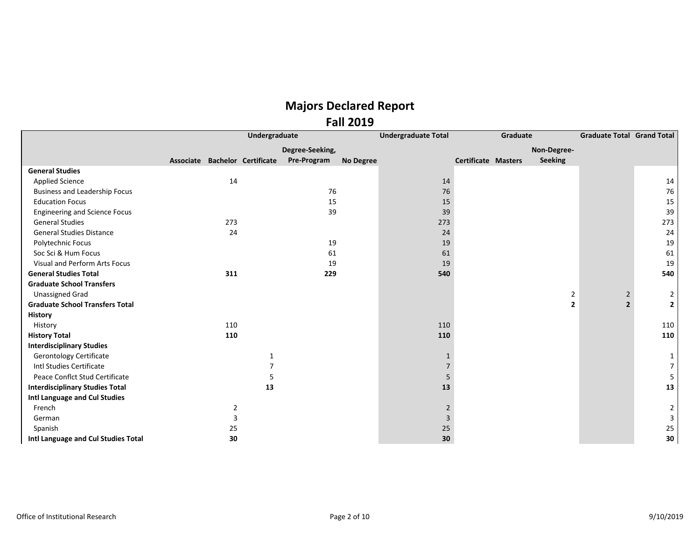|                                        |                                |                | Undergraduate |                 |                  | <b>Undergraduate Total</b> |                            | Graduate |                | <b>Graduate Total Grand Total</b> |                |
|----------------------------------------|--------------------------------|----------------|---------------|-----------------|------------------|----------------------------|----------------------------|----------|----------------|-----------------------------------|----------------|
|                                        |                                |                |               | Degree-Seeking, |                  |                            |                            |          | Non-Degree-    |                                   |                |
|                                        | Associate Bachelor Certificate |                |               | Pre-Program     | <b>No Degree</b> |                            | <b>Certificate Masters</b> |          | Seeking        |                                   |                |
| <b>General Studies</b>                 |                                |                |               |                 |                  |                            |                            |          |                |                                   |                |
| <b>Applied Science</b>                 |                                | 14             |               |                 |                  | 14                         |                            |          |                |                                   | 14             |
| <b>Business and Leadership Focus</b>   |                                |                |               | 76              |                  | 76                         |                            |          |                |                                   | 76             |
| <b>Education Focus</b>                 |                                |                |               | 15              |                  | 15                         |                            |          |                |                                   | 15             |
| <b>Engineering and Science Focus</b>   |                                |                |               | 39              |                  | 39                         |                            |          |                |                                   | 39             |
| <b>General Studies</b>                 |                                | 273            |               |                 |                  | 273                        |                            |          |                |                                   | 273            |
| <b>General Studies Distance</b>        |                                | 24             |               |                 |                  | 24                         |                            |          |                |                                   | 24             |
| Polytechnic Focus                      |                                |                |               | 19              |                  | 19                         |                            |          |                |                                   | 19             |
| Soc Sci & Hum Focus                    |                                |                |               | 61              |                  | 61                         |                            |          |                |                                   | 61             |
| Visual and Perform Arts Focus          |                                |                |               | 19              |                  | 19                         |                            |          |                |                                   | 19             |
| <b>General Studies Total</b>           |                                | 311            |               | 229             |                  | 540                        |                            |          |                |                                   | 540            |
| <b>Graduate School Transfers</b>       |                                |                |               |                 |                  |                            |                            |          |                |                                   |                |
| <b>Unassigned Grad</b>                 |                                |                |               |                 |                  |                            |                            |          | $\overline{2}$ | $\overline{2}$                    | $\overline{2}$ |
| <b>Graduate School Transfers Total</b> |                                |                |               |                 |                  |                            |                            |          | $\overline{2}$ | $\overline{2}$                    | $\overline{2}$ |
| <b>History</b>                         |                                |                |               |                 |                  |                            |                            |          |                |                                   |                |
| History                                |                                | 110            |               |                 |                  | 110                        |                            |          |                |                                   | 110            |
| <b>History Total</b>                   |                                | 110            |               |                 |                  | 110                        |                            |          |                |                                   | 110            |
| <b>Interdisciplinary Studies</b>       |                                |                |               |                 |                  |                            |                            |          |                |                                   |                |
| <b>Gerontology Certificate</b>         |                                |                | $\mathbf 1$   |                 |                  | $\mathbf{1}$               |                            |          |                |                                   | 1              |
| Intl Studies Certificate               |                                |                | 7             |                 |                  | $\overline{7}$             |                            |          |                |                                   | 7              |
| Peace Conflct Stud Certificate         |                                |                | 5             |                 |                  | 5                          |                            |          |                |                                   | 5              |
| <b>Interdisciplinary Studies Total</b> |                                |                | 13            |                 |                  | 13                         |                            |          |                |                                   | 13             |
| Intl Language and Cul Studies          |                                |                |               |                 |                  |                            |                            |          |                |                                   |                |
| French                                 |                                | $\overline{2}$ |               |                 |                  | $\overline{2}$             |                            |          |                |                                   | 2              |
| German                                 |                                | 3              |               |                 |                  | $\mathbf{3}$               |                            |          |                |                                   | 3              |
| Spanish                                |                                | 25             |               |                 |                  | 25                         |                            |          |                |                                   | 25             |
| Intl Language and Cul Studies Total    |                                | 30             |               |                 |                  | 30                         |                            |          |                |                                   | 30             |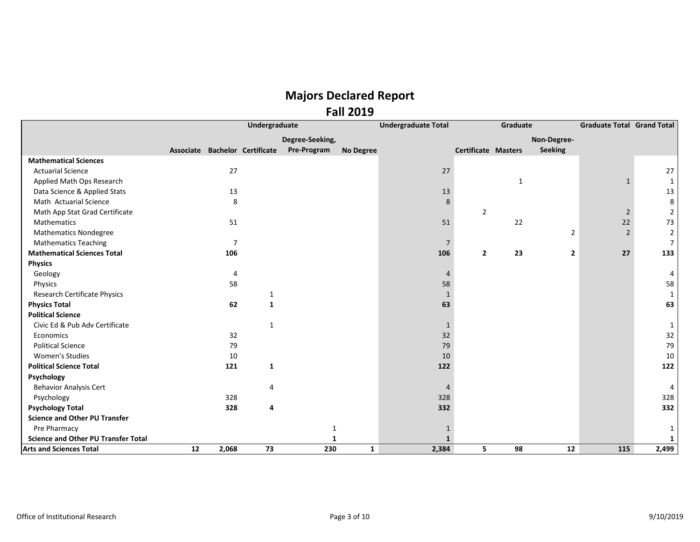|                                            |                                |                | Undergraduate |                 |                  | <b>Undergraduate Total</b> |                            | Graduate     |                | <b>Graduate Total Grand Total</b> |                |
|--------------------------------------------|--------------------------------|----------------|---------------|-----------------|------------------|----------------------------|----------------------------|--------------|----------------|-----------------------------------|----------------|
|                                            |                                |                |               | Degree-Seeking, |                  |                            |                            |              | Non-Degree-    |                                   |                |
|                                            | Associate Bachelor Certificate |                |               | Pre-Program     | <b>No Degree</b> |                            | <b>Certificate Masters</b> |              | <b>Seeking</b> |                                   |                |
| <b>Mathematical Sciences</b>               |                                |                |               |                 |                  |                            |                            |              |                |                                   |                |
| <b>Actuarial Science</b>                   |                                | 27             |               |                 |                  | 27                         |                            |              |                |                                   | 27             |
| Applied Math Ops Research                  |                                |                |               |                 |                  |                            |                            | $\mathbf{1}$ |                | $\mathbf{1}$                      | $\mathbf{1}$   |
| Data Science & Applied Stats               |                                | 13             |               |                 |                  | 13                         |                            |              |                |                                   | 13             |
| Math Actuarial Science                     |                                | 8              |               |                 |                  | 8                          |                            |              |                |                                   | 8              |
| Math App Stat Grad Certificate             |                                |                |               |                 |                  |                            | $\overline{2}$             |              |                | $\overline{2}$                    | $\overline{2}$ |
| Mathematics                                |                                | 51             |               |                 |                  | 51                         |                            | 22           |                | 22                                | 73             |
| <b>Mathematics Nondegree</b>               |                                |                |               |                 |                  |                            |                            |              | $\overline{2}$ | $\overline{2}$                    | $\overline{2}$ |
| <b>Mathematics Teaching</b>                |                                | $\overline{7}$ |               |                 |                  | $\overline{7}$             |                            |              |                |                                   | $\overline{7}$ |
| <b>Mathematical Sciences Total</b>         |                                | 106            |               |                 |                  | 106                        | $\overline{2}$             | 23           | $\overline{2}$ | 27                                | 133            |
| <b>Physics</b>                             |                                |                |               |                 |                  |                            |                            |              |                |                                   |                |
| Geology                                    |                                | 4              |               |                 |                  | 4                          |                            |              |                |                                   | 4              |
| Physics                                    |                                | 58             |               |                 |                  | 58                         |                            |              |                |                                   | 58             |
| Research Certificate Physics               |                                |                | 1             |                 |                  | $\mathbf{1}$               |                            |              |                |                                   | $\mathbf{1}$   |
| <b>Physics Total</b>                       |                                | 62             | 1             |                 |                  | 63                         |                            |              |                |                                   | 63             |
| <b>Political Science</b>                   |                                |                |               |                 |                  |                            |                            |              |                |                                   |                |
| Civic Ed & Pub Adv Certificate             |                                |                | 1             |                 |                  | $\mathbf{1}$               |                            |              |                |                                   | $\mathbf{1}$   |
| Economics                                  |                                | 32             |               |                 |                  | 32                         |                            |              |                |                                   | 32             |
| <b>Political Science</b>                   |                                | 79             |               |                 |                  | 79                         |                            |              |                |                                   | 79             |
| <b>Women's Studies</b>                     |                                | 10             |               |                 |                  | 10                         |                            |              |                |                                   | 10             |
| <b>Political Science Total</b>             |                                | 121            | 1             |                 |                  | 122                        |                            |              |                |                                   | 122            |
| Psychology                                 |                                |                |               |                 |                  |                            |                            |              |                |                                   |                |
| <b>Behavior Analysis Cert</b>              |                                |                | 4             |                 |                  | 4                          |                            |              |                |                                   | $\overline{4}$ |
| Psychology                                 |                                | 328            |               |                 |                  | 328                        |                            |              |                |                                   | 328            |
| <b>Psychology Total</b>                    |                                | 328            | 4             |                 |                  | 332                        |                            |              |                |                                   | 332            |
| <b>Science and Other PU Transfer</b>       |                                |                |               |                 |                  |                            |                            |              |                |                                   |                |
| Pre Pharmacy                               |                                |                |               | $\mathbf{1}$    |                  | $\mathbf{1}$               |                            |              |                |                                   | 1              |
| <b>Science and Other PU Transfer Total</b> |                                |                |               |                 |                  | $\mathbf{1}$               |                            |              |                |                                   | $\mathbf{1}$   |
| <b>Arts and Sciences Total</b>             | 12                             | 2,068          | 73            | 230             | $\mathbf{1}$     | 2,384                      | 5                          | 98           | 12             | 115                               | 2,499          |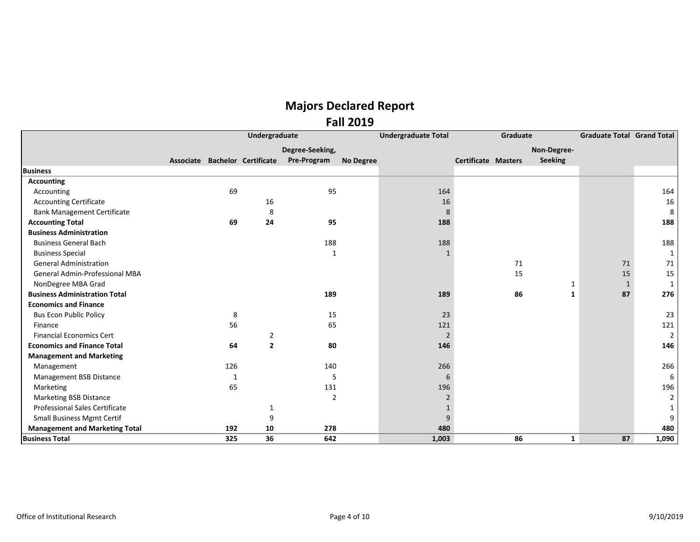|                                       |     | Undergraduate                  |                 |                  | <b>Undergraduate Total</b> | Graduate            |                | <b>Graduate Total Grand Total</b> |                |
|---------------------------------------|-----|--------------------------------|-----------------|------------------|----------------------------|---------------------|----------------|-----------------------------------|----------------|
|                                       |     |                                | Degree-Seeking, |                  |                            |                     | Non-Degree-    |                                   |                |
|                                       |     | Associate Bachelor Certificate | Pre-Program     | <b>No Degree</b> |                            | Certificate Masters | <b>Seeking</b> |                                   |                |
| <b>Business</b>                       |     |                                |                 |                  |                            |                     |                |                                   |                |
| <b>Accounting</b>                     |     |                                |                 |                  |                            |                     |                |                                   |                |
| Accounting                            | 69  |                                | 95              |                  | 164                        |                     |                |                                   | 164            |
| <b>Accounting Certificate</b>         |     | 16                             |                 |                  | 16                         |                     |                |                                   | 16             |
| <b>Bank Management Certificate</b>    |     | 8                              |                 |                  | 8                          |                     |                |                                   | 8              |
| <b>Accounting Total</b>               | 69  | 24                             | 95              |                  | 188                        |                     |                |                                   | 188            |
| <b>Business Administration</b>        |     |                                |                 |                  |                            |                     |                |                                   |                |
| <b>Business General Bach</b>          |     |                                | 188             |                  | 188                        |                     |                |                                   | 188            |
| <b>Business Special</b>               |     |                                | -1              |                  |                            |                     |                |                                   | $\mathbf{1}$   |
| <b>General Administration</b>         |     |                                |                 |                  |                            | 71                  |                | 71                                | 71             |
| General Admin-Professional MBA        |     |                                |                 |                  |                            | 15                  |                | 15                                | 15             |
| NonDegree MBA Grad                    |     |                                |                 |                  |                            |                     | 1              | 1                                 | $\mathbf{1}$   |
| <b>Business Administration Total</b>  |     |                                | 189             |                  | 189                        | 86                  | 1              | 87                                | 276            |
| <b>Economics and Finance</b>          |     |                                |                 |                  |                            |                     |                |                                   |                |
| <b>Bus Econ Public Policy</b>         | 8   |                                | 15              |                  | 23                         |                     |                |                                   | 23             |
| Finance                               | 56  |                                | 65              |                  | 121                        |                     |                |                                   | 121            |
| <b>Financial Economics Cert</b>       |     | $\overline{2}$                 |                 |                  | $\overline{2}$             |                     |                |                                   | $2^{\circ}$    |
| <b>Economics and Finance Total</b>    | 64  | $\overline{2}$                 | 80              |                  | 146                        |                     |                |                                   | 146            |
| <b>Management and Marketing</b>       |     |                                |                 |                  |                            |                     |                |                                   |                |
| Management                            | 126 |                                | 140             |                  | 266                        |                     |                |                                   | 266            |
| Management BSB Distance               | 1   |                                | 5               |                  | 6                          |                     |                |                                   | 6              |
| Marketing                             | 65  |                                | 131             |                  | 196                        |                     |                |                                   | 196            |
| <b>Marketing BSB Distance</b>         |     |                                | 2               |                  | $\overline{2}$             |                     |                |                                   | $\overline{2}$ |
| <b>Professional Sales Certificate</b> |     | 1                              |                 |                  |                            |                     |                |                                   | $\mathbf{1}$   |
| <b>Small Business Mgmt Certif</b>     |     | 9                              |                 |                  | 9                          |                     |                |                                   | 9              |
| <b>Management and Marketing Total</b> | 192 | 10                             | 278             |                  | 480                        |                     |                |                                   | 480            |
| <b>Business Total</b>                 | 325 | 36                             | 642             |                  | 1,003                      | 86                  | $\mathbf{1}$   | 87                                | 1,090          |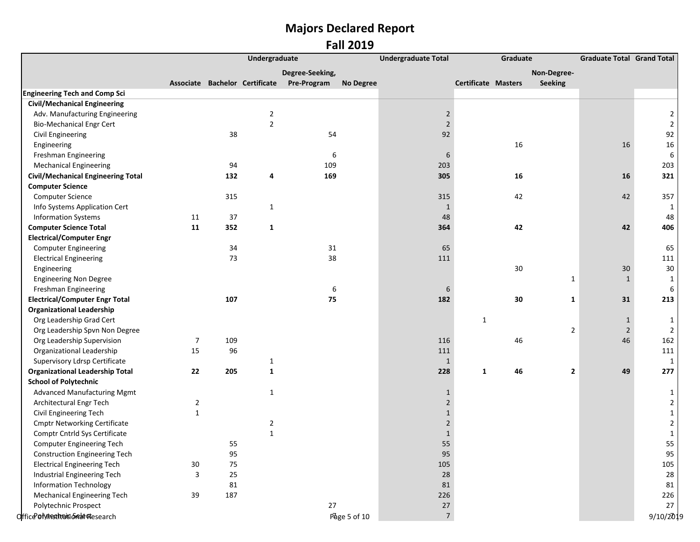|                                           |                         | Undergraduate |                         |                                            |                  | <b>Undergraduate Total</b> | Graduate                   |                    | <b>Graduate Total Grand Total</b> |                         |
|-------------------------------------------|-------------------------|---------------|-------------------------|--------------------------------------------|------------------|----------------------------|----------------------------|--------------------|-----------------------------------|-------------------------|
|                                           |                         |               |                         | Degree-Seeking,                            |                  |                            |                            | Non-Degree-        |                                   |                         |
|                                           |                         |               |                         | Associate Bachelor Certificate Pre-Program | <b>No Degree</b> |                            | <b>Certificate Masters</b> | <b>Seeking</b>     |                                   |                         |
| <b>Engineering Tech and Comp Sci</b>      |                         |               |                         |                                            |                  |                            |                            |                    |                                   |                         |
| <b>Civil/Mechanical Engineering</b>       |                         |               |                         |                                            |                  |                            |                            |                    |                                   |                         |
| Adv. Manufacturing Engineering            |                         |               | 2                       |                                            |                  | $\overline{2}$             |                            |                    |                                   | 2                       |
| <b>Bio-Mechanical Engr Cert</b>           |                         |               | $\overline{2}$          |                                            |                  | $\overline{2}$             |                            |                    |                                   | $\mathbf 2$             |
| Civil Engineering                         |                         | 38            |                         | 54                                         |                  | 92                         |                            |                    |                                   | 92                      |
| Engineering                               |                         |               |                         |                                            |                  |                            | 16                         |                    | 16                                | $16\,$                  |
| Freshman Engineering                      |                         |               |                         | 6                                          |                  | 6                          |                            |                    |                                   | 6                       |
| <b>Mechanical Engineering</b>             |                         | 94            |                         | 109                                        |                  | 203                        |                            |                    |                                   | 203                     |
| <b>Civil/Mechanical Engineering Total</b> |                         | 132           | 4                       | 169                                        |                  | 305                        | 16                         |                    | 16                                | 321                     |
| <b>Computer Science</b>                   |                         |               |                         |                                            |                  |                            |                            |                    |                                   |                         |
| <b>Computer Science</b>                   |                         | 315           |                         |                                            |                  | 315                        | 42                         |                    | 42                                | 357                     |
| Info Systems Application Cert             |                         |               | $\mathbf{1}$            |                                            |                  | $\mathbf{1}$               |                            |                    |                                   | 1                       |
| <b>Information Systems</b>                | 11                      | 37            |                         |                                            |                  | 48                         |                            |                    |                                   | 48                      |
| <b>Computer Science Total</b>             | 11                      | 352           | $\mathbf{1}$            |                                            |                  | 364                        |                            | 42                 | 42                                | 406                     |
| <b>Electrical/Computer Engr</b>           |                         |               |                         |                                            |                  |                            |                            |                    |                                   |                         |
| <b>Computer Engineering</b>               |                         | 34            |                         | 31                                         |                  | 65                         |                            |                    |                                   | 65                      |
| <b>Electrical Engineering</b>             |                         | 73            |                         | 38                                         |                  | 111                        |                            |                    |                                   | 111                     |
| Engineering                               |                         |               |                         |                                            |                  |                            |                            | $30\,$             | 30                                | $30\,$                  |
| <b>Engineering Non Degree</b>             |                         |               |                         |                                            |                  |                            |                            | $\mathbf{1}$       | $\mathbf{1}$                      | $\mathbf{1}$            |
| Freshman Engineering                      |                         |               |                         | 6                                          |                  | 6                          |                            |                    |                                   | 6                       |
| <b>Electrical/Computer Engr Total</b>     |                         | 107           |                         | 75                                         |                  | 182                        |                            | 30<br>$\mathbf{1}$ | 31                                | 213                     |
| <b>Organizational Leadership</b>          |                         |               |                         |                                            |                  |                            |                            |                    |                                   |                         |
| Org Leadership Grad Cert                  |                         |               |                         |                                            |                  |                            | $\mathbf{1}$               |                    | $\mathbf{1}$                      | 1                       |
| Org Leadership Spvn Non Degree            |                         |               |                         |                                            |                  |                            |                            | $\overline{2}$     | $\overline{2}$                    | 2                       |
| Org Leadership Supervision                | 7                       | 109           |                         |                                            |                  | 116                        |                            | 46                 | 46                                | 162                     |
| Organizational Leadership                 | 15                      | 96            |                         |                                            |                  | 111                        |                            |                    |                                   | 111                     |
| Supervisory Ldrsp Certificate             |                         |               | $\mathbf{1}$            |                                            |                  | $\mathbf{1}$               |                            |                    |                                   | 1                       |
| <b>Organizational Leadership Total</b>    | 22                      | 205           | $\mathbf 1$             |                                            |                  | 228                        | 46<br>1                    | $\mathbf{2}$       | 49                                | 277                     |
| <b>School of Polytechnic</b>              |                         |               |                         |                                            |                  |                            |                            |                    |                                   |                         |
| <b>Advanced Manufacturing Mgmt</b>        |                         |               | $\mathbf{1}$            |                                            |                  | $\mathbf{1}$               |                            |                    |                                   | 1                       |
| Architectural Engr Tech                   | $\overline{2}$          |               |                         |                                            |                  | $\overline{2}$             |                            |                    |                                   | $\overline{a}$          |
| Civil Engineering Tech                    | $\mathbf 1$             |               |                         |                                            |                  | $\mathbf{1}$               |                            |                    |                                   | $\mathbf{1}$            |
| <b>Cmptr Networking Certificate</b>       |                         |               | $\overline{\mathbf{c}}$ |                                            |                  | $\overline{2}$             |                            |                    |                                   | $\overline{\mathbf{c}}$ |
| Comptr Cntrld Sys Certificate             |                         |               | $\mathbf{1}$            |                                            |                  | $\mathbf 1$                |                            |                    |                                   | $\mathbf 1$             |
| Computer Engineering Tech                 |                         | 55            |                         |                                            |                  | 55                         |                            |                    |                                   | 55                      |
| <b>Construction Engineering Tech</b>      |                         | 95            |                         |                                            |                  | 95                         |                            |                    |                                   | 95                      |
| <b>Electrical Engineering Tech</b>        | 30                      | 75            |                         |                                            |                  | 105                        |                            |                    |                                   | 105                     |
| Industrial Engineering Tech               | $\overline{\mathbf{3}}$ | 25            |                         |                                            |                  | 28                         |                            |                    |                                   | 28                      |
| <b>Information Technology</b>             |                         | 81            |                         |                                            |                  | 81                         |                            |                    |                                   | 81                      |
| <b>Mechanical Engineering Tech</b>        | 39                      | 187           |                         |                                            |                  | 226                        |                            |                    |                                   | 226                     |
| Polytechnic Prospect                      |                         |               |                         | 27                                         |                  | $27\,$                     |                            |                    |                                   | 27                      |
| OfficePofyttesthtwidoGreateResearch       |                         |               |                         |                                            | Page 5 of 10     | $\sqrt{ }$                 |                            |                    |                                   | 9/10/2019               |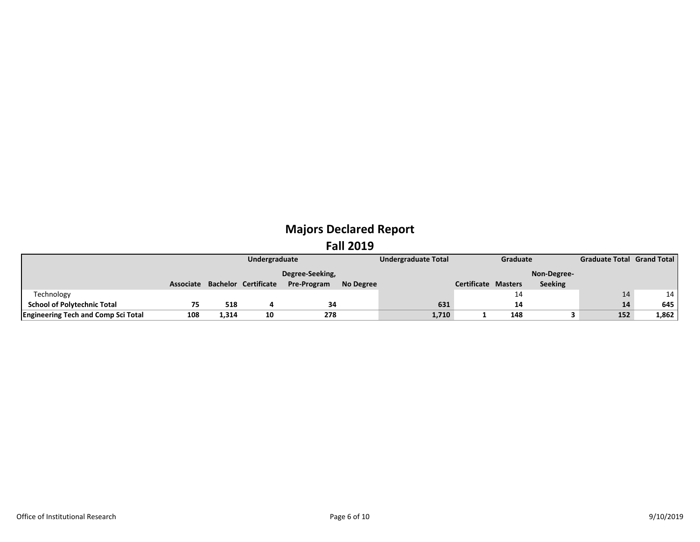|                                            |     | Undergraduate |                                |                 |           | <b>Undergraduate Total</b> |                            | Graduate |                | <b>Graduate Total Grand Total</b> |       |
|--------------------------------------------|-----|---------------|--------------------------------|-----------------|-----------|----------------------------|----------------------------|----------|----------------|-----------------------------------|-------|
|                                            |     |               |                                | Degree-Seeking, |           |                            |                            |          | Non-Degree-    |                                   |       |
|                                            |     |               | Associate Bachelor Certificate | Pre-Program     | No Degree |                            | <b>Certificate Masters</b> |          | <b>Seeking</b> |                                   |       |
| Technology                                 |     |               |                                |                 |           |                            |                            | 14       |                |                                   | 14    |
| <b>School of Polytechnic Total</b>         | 75  | 518           |                                | 34              |           | 631                        |                            | 14       |                | 14                                | 645   |
| <b>Engineering Tech and Comp Sci Total</b> | 108 | 1,314         | 10                             | 278             |           | 1,710                      |                            | 148      |                | 152                               | 1,862 |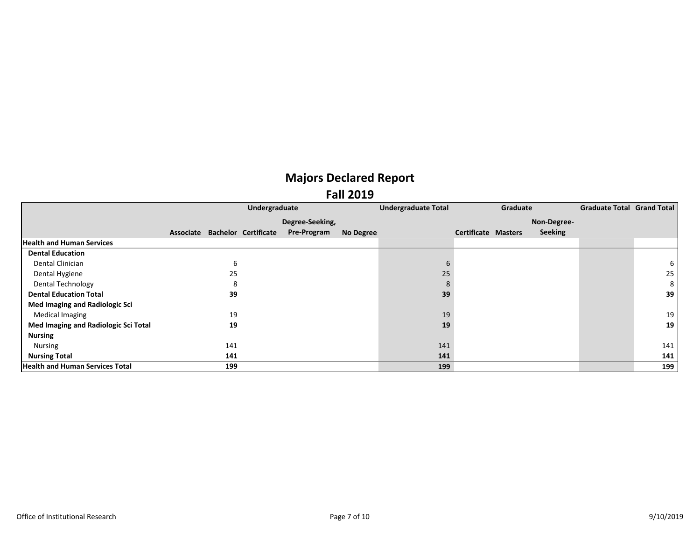|                                        |     | Undergraduate                  |                 |                  | <b>Undergraduate Total</b> |                            | Graduate |                | <b>Graduate Total Grand Total</b> |     |
|----------------------------------------|-----|--------------------------------|-----------------|------------------|----------------------------|----------------------------|----------|----------------|-----------------------------------|-----|
|                                        |     |                                | Degree-Seeking, |                  |                            |                            |          | Non-Degree-    |                                   |     |
|                                        |     | Associate Bachelor Certificate | Pre-Program     | <b>No Degree</b> |                            | <b>Certificate Masters</b> |          | <b>Seeking</b> |                                   |     |
| <b>Health and Human Services</b>       |     |                                |                 |                  |                            |                            |          |                |                                   |     |
| <b>Dental Education</b>                |     |                                |                 |                  |                            |                            |          |                |                                   |     |
| Dental Clinician                       | 6   |                                |                 |                  |                            |                            |          |                |                                   | 6   |
| Dental Hygiene                         | 25  |                                |                 |                  | 25                         |                            |          |                |                                   | 25  |
| <b>Dental Technology</b>               | 8   |                                |                 |                  | 8                          |                            |          |                |                                   | 8   |
| <b>Dental Education Total</b>          | 39  |                                |                 |                  | 39                         |                            |          |                |                                   | 39  |
| Med Imaging and Radiologic Sci         |     |                                |                 |                  |                            |                            |          |                |                                   |     |
| Medical Imaging                        | 19  |                                |                 |                  | 19                         |                            |          |                |                                   | 19  |
| Med Imaging and Radiologic Sci Total   | 19  |                                |                 |                  | 19                         |                            |          |                |                                   | 19  |
| <b>Nursing</b>                         |     |                                |                 |                  |                            |                            |          |                |                                   |     |
| Nursing                                | 141 |                                |                 |                  | 141                        |                            |          |                |                                   | 141 |
| <b>Nursing Total</b>                   | 141 |                                |                 |                  | 141                        |                            |          |                |                                   | 141 |
| <b>Health and Human Services Total</b> | 199 |                                |                 |                  | 199                        |                            |          |                |                                   | 199 |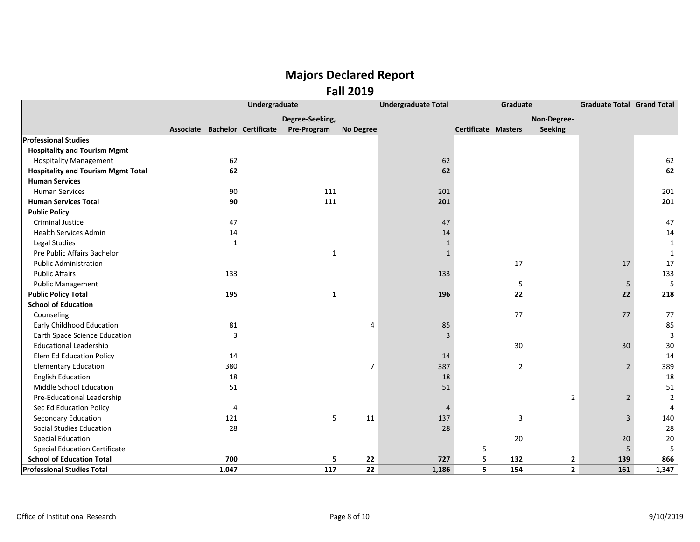|                                           |                                | Undergraduate |                 |                  | <b>Undergraduate Total</b> |                     | Graduate |                | <b>Graduate Total Grand Total</b> |                |
|-------------------------------------------|--------------------------------|---------------|-----------------|------------------|----------------------------|---------------------|----------|----------------|-----------------------------------|----------------|
|                                           |                                |               | Degree-Seeking, |                  |                            |                     |          | Non-Degree-    |                                   |                |
|                                           | Associate Bachelor Certificate |               | Pre-Program     | <b>No Degree</b> |                            | Certificate Masters |          | <b>Seeking</b> |                                   |                |
| <b>Professional Studies</b>               |                                |               |                 |                  |                            |                     |          |                |                                   |                |
| <b>Hospitality and Tourism Mgmt</b>       |                                |               |                 |                  |                            |                     |          |                |                                   |                |
| <b>Hospitality Management</b>             | 62                             |               |                 |                  | 62                         |                     |          |                |                                   | 62             |
| <b>Hospitality and Tourism Mgmt Total</b> | 62                             |               |                 |                  | 62                         |                     |          |                |                                   | 62             |
| <b>Human Services</b>                     |                                |               |                 |                  |                            |                     |          |                |                                   |                |
| <b>Human Services</b>                     | 90                             |               | 111             |                  | 201                        |                     |          |                |                                   | 201            |
| <b>Human Services Total</b>               | 90                             |               | 111             |                  | 201                        |                     |          |                |                                   | 201            |
| <b>Public Policy</b>                      |                                |               |                 |                  |                            |                     |          |                |                                   |                |
| <b>Criminal Justice</b>                   | 47                             |               |                 |                  | 47                         |                     |          |                |                                   | 47             |
| <b>Health Services Admin</b>              | 14                             |               |                 |                  | 14                         |                     |          |                |                                   | 14             |
| Legal Studies                             | $\mathbf{1}$                   |               |                 |                  | 1                          |                     |          |                |                                   | $\mathbf{1}$   |
| Pre Public Affairs Bachelor               |                                |               | $\mathbf{1}$    |                  | 1                          |                     |          |                |                                   | 1              |
| <b>Public Administration</b>              |                                |               |                 |                  |                            |                     | 17       |                | 17                                | 17             |
| <b>Public Affairs</b>                     | 133                            |               |                 |                  | 133                        |                     |          |                |                                   | 133            |
| <b>Public Management</b>                  |                                |               |                 |                  |                            |                     | 5        |                | 5                                 | 5              |
| <b>Public Policy Total</b>                | 195                            |               | $\mathbf{1}$    |                  | 196                        |                     | 22       |                | 22                                | 218            |
| <b>School of Education</b>                |                                |               |                 |                  |                            |                     |          |                |                                   |                |
| Counseling                                |                                |               |                 |                  |                            |                     | 77       |                | 77                                | 77             |
| Early Childhood Education                 | 81                             |               |                 | 4                | 85                         |                     |          |                |                                   | 85             |
| Earth Space Science Education             | 3                              |               |                 |                  | 3                          |                     |          |                |                                   | 3              |
| <b>Educational Leadership</b>             |                                |               |                 |                  |                            |                     | 30       |                | 30                                | 30             |
| <b>Elem Ed Education Policy</b>           | 14                             |               |                 |                  | 14                         |                     |          |                |                                   | 14             |
| <b>Elementary Education</b>               | 380                            |               |                 | $\overline{7}$   | 387                        |                     | 2        |                | $\overline{2}$                    | 389            |
| <b>English Education</b>                  | 18                             |               |                 |                  | 18                         |                     |          |                |                                   | 18             |
| Middle School Education                   | 51                             |               |                 |                  | 51                         |                     |          |                |                                   | 51             |
| Pre-Educational Leadership                |                                |               |                 |                  |                            |                     |          | $\overline{2}$ | $\overline{2}$                    | $\overline{2}$ |
| Sec Ed Education Policy                   | 4                              |               |                 |                  | $\overline{4}$             |                     |          |                |                                   | 4              |
| Secondary Education                       | 121                            |               | 5               | 11               | 137                        |                     | 3        |                | 3                                 | 140            |
| Social Studies Education                  | 28                             |               |                 |                  | 28                         |                     |          |                |                                   | 28             |
| <b>Special Education</b>                  |                                |               |                 |                  |                            |                     | 20       |                | 20                                | $20\,$         |
| <b>Special Education Certificate</b>      |                                |               |                 |                  |                            | 5                   |          |                | 5                                 | 5              |
| <b>School of Education Total</b>          | 700                            |               | 5               | 22               | 727                        | 5                   | 132      | $\mathbf{2}$   | 139                               | 866            |
| <b>Professional Studies Total</b>         | 1,047                          |               | 117             | 22               | 1,186                      | 5                   | 154      | $\overline{2}$ | 161                               | 1,347          |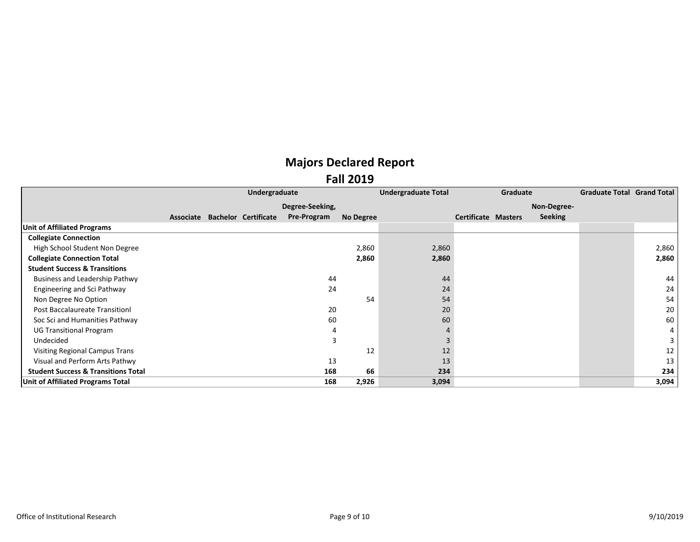|                                                |  | Undergraduate                  |                    |           | <b>Undergraduate Total</b> |                            | Graduate |                | <b>Graduate Total Grand Total</b> |       |
|------------------------------------------------|--|--------------------------------|--------------------|-----------|----------------------------|----------------------------|----------|----------------|-----------------------------------|-------|
|                                                |  |                                | Degree-Seeking,    |           |                            |                            |          | Non-Degree-    |                                   |       |
|                                                |  | Associate Bachelor Certificate | <b>Pre-Program</b> | No Degree |                            | <b>Certificate Masters</b> |          | <b>Seeking</b> |                                   |       |
| <b>Unit of Affiliated Programs</b>             |  |                                |                    |           |                            |                            |          |                |                                   |       |
| <b>Collegiate Connection</b>                   |  |                                |                    |           |                            |                            |          |                |                                   |       |
| High School Student Non Degree                 |  |                                |                    | 2,860     | 2,860                      |                            |          |                |                                   | 2,860 |
| <b>Collegiate Connection Total</b>             |  |                                |                    | 2,860     | 2,860                      |                            |          |                |                                   | 2,860 |
| <b>Student Success &amp; Transitions</b>       |  |                                |                    |           |                            |                            |          |                |                                   |       |
| Business and Leadership Pathwy                 |  |                                | 44                 |           | 44                         |                            |          |                |                                   | 44    |
| Engineering and Sci Pathway                    |  |                                | 24                 |           | 24                         |                            |          |                |                                   | 24    |
| Non Degree No Option                           |  |                                |                    | 54        | 54                         |                            |          |                |                                   | 54    |
| <b>Post Baccalaureate Transitionl</b>          |  |                                | 20                 |           | 20                         |                            |          |                |                                   | 20    |
| Soc Sci and Humanities Pathway                 |  |                                | 60                 |           | 60                         |                            |          |                |                                   | 60    |
| <b>UG Transitional Program</b>                 |  |                                | 4                  |           |                            |                            |          |                |                                   | 4     |
| Undecided                                      |  |                                | 3                  |           |                            |                            |          |                |                                   |       |
| Visiting Regional Campus Trans                 |  |                                |                    | 12        | 12                         |                            |          |                |                                   | 12    |
| Visual and Perform Arts Pathwy                 |  |                                | 13                 |           | 13                         |                            |          |                |                                   | 13    |
| <b>Student Success &amp; Transitions Total</b> |  |                                | 168                | 66        | 234                        |                            |          |                |                                   | 234   |
| Unit of Affiliated Programs Total              |  |                                | 168                | 2,926     | 3,094                      |                            |          |                |                                   | 3,094 |